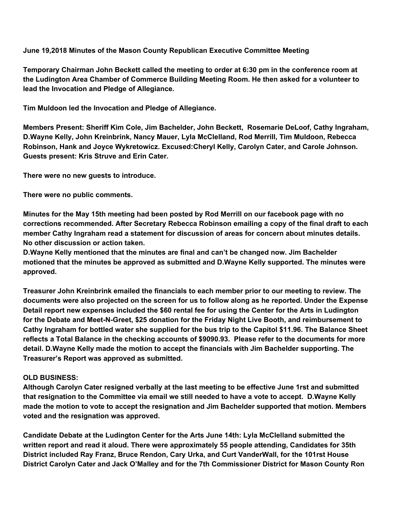**June 19,2018 Minutes of the Mason County Republican Executive Committee Meeting**

**Temporary Chairman John Beckett called the meeting to order at 6:30 pm in the conference room at the Ludington Area Chamber of Commerce Building Meeting Room. He then asked for a volunteer to lead the Invocation and Pledge of Allegiance.**

**Tim Muldoon led the Invocation and Pledge of Allegiance.**

**Members Present: Sheriff Kim Cole, Jim Bachelder, John Beckett, Rosemarie DeLoof, Cathy Ingraham, D.Wayne Kelly, John Kreinbrink, Nancy Mauer, Lyla McClelland, Rod Merrill, Tim Muldoon, Rebecca Robinson, Hank and Joyce Wykretowicz. Excused:Cheryl Kelly, Carolyn Cater, and Carole Johnson. Guests present: Kris Struve and Erin Cater.**

**There were no new guests to introduce.**

**There were no public comments.**

**Minutes for the May 15th meeting had been posted by Rod Merrill on our facebook page with no corrections recommended. After Secretary Rebecca Robinson emailing a copy of the final draft to each member Cathy Ingraham read a statement for discussion of areas for concern about minutes details. No other discussion or action taken.**

**D.Wayne Kelly mentioned that the minutes are final and can't be changed now. Jim Bachelder motioned that the minutes be approved as submitted and D.Wayne Kelly supported. The minutes were approved.**

**Treasurer John Kreinbrink emailed the financials to each member prior to our meeting to review. The** documents were also projected on the screen for us to follow along as he reported. Under the Expense Detail report new expenses included the \$60 rental fee for using the Center for the Arts in Ludington **for the Debate and Meet-N-Greet, \$25 donation for the Friday Night Live Booth, and reimbursement to** Cathy Ingraham for bottled water she supplied for the bus trip to the Capitol \$11.96. The Balance Sheet **reflects a Total Balance in the checking accounts of \$9090.93. Please refer to the documents for more detail. D.Wayne Kelly made the motion to accept the financials with Jim Bachelder supporting. The Treasurer's Report was approved as submitted.**

## **OLD BUSINESS:**

**Although Carolyn Cater resigned verbally at the last meeting to be effective June 1rst and submitted** that resignation to the Committee via email we still needed to have a vote to accept. D. Wayne Kelly **made the motion to vote to accept the resignation and Jim Bachelder supported that motion. Members voted and the resignation was approved.**

**Candidate Debate at the Ludington Center for the Arts June 14th: Lyla McClelland submitted the written report and read it aloud. There were approximately 55 people attending, Candidates for 35th District included Ray Franz, Bruce Rendon, Cary Urka, and Curt VanderWall, for the 101rst House District Carolyn Cater and Jack O'Malley and for the 7th Commissioner District for Mason County Ron**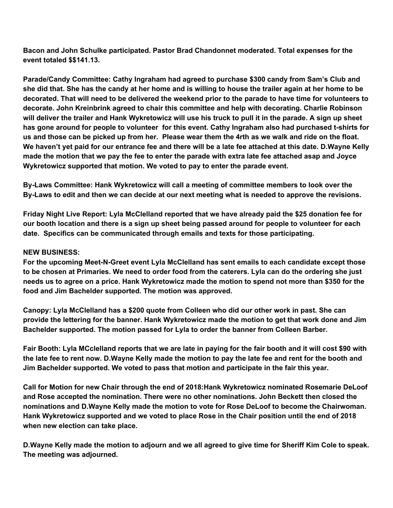**Bacon and John Schulke participated. Pastor Brad Chandonnet moderated. Total expenses for the event totaled \$\$141.13.**

**Parade/Candy Committee: Cathy Ingraham had agreed to purchase \$300 candy from Sam's Club and** she did that. She has the candy at her home and is willing to house the trailer again at her home to be decorated. That will need to be delivered the weekend prior to the parade to have time for volunteers to **decorate. John Kreinbrink agreed to chair this committee and help with decorating. Charlie Robinson** will deliver the trailer and Hank Wykretowicz will use his truck to pull it in the parade. A sign up sheet **has gone around for people to volunteer for this event. Cathy Ingraham also had purchased t-shirts for** us and those can be picked up from her. Please wear them the 4rth as we walk and ride on the float. We haven't yet paid for our entrance fee and there will be a late fee attached at this date. D. Wayne Kelly made the motion that we pay the fee to enter the parade with extra late fee attached asap and Joyce **Wykretowicz supported that motion. We voted to pay to enter the parade event.**

**By-Laws Committee: Hank Wykretowicz will call a meeting of committee members to look over the** By-Laws to edit and then we can decide at our next meeting what is needed to approve the revisions.

**Friday Night Live Report: Lyla McClelland reported that we have already paid the \$25 donation fee for** our booth location and there is a sign up sheet being passed around for people to volunteer for each **date. Specifics can be communicated through emails and texts for those participating.**

## **NEW BUSINESS:**

**For the upcoming Meet-N-Greet event Lyla McClelland has sent emails to each candidate except those** to be chosen at Primaries. We need to order food from the caterers. Lyla can do the ordering she just needs us to agree on a price. Hank Wykretowicz made the motion to spend not more than \$350 for the **food and Jim Bachelder supported. The motion was approved.**

**Canopy: Lyla McClelland has a \$200 quote from Colleen who did our other work in past. She can** provide the lettering for the banner. Hank Wykretowicz made the motion to get that work done and Jim **Bachelder supported. The motion passed for Lyla to order the banner from Colleen Barber.**

Fair Booth: Lyla MCclelland reports that we are late in paying for the fair booth and it will cost \$90 with the late fee to rent now. D. Wayne Kelly made the motion to pay the late fee and rent for the booth and **Jim Bachelder supported. We voted to pass that motion and participate in the fair this year.**

**Call for Motion for new Chair through the end of 2018:Hank Wykretowicz nominated Rosemarie DeLoof and Rose accepted the nomination. There were no other nominations. John Beckett then closed the nominations and D.Wayne Kelly made the motion to vote for Rose DeLoof to become the Chairwoman. Hank Wykretowicz supported and we voted to place Rose in the Chair position until the end of 2018 when new election can take place.**

D. Wayne Kelly made the motion to adjourn and we all agreed to give time for Sheriff Kim Cole to speak. **The meeting was adjourned.**